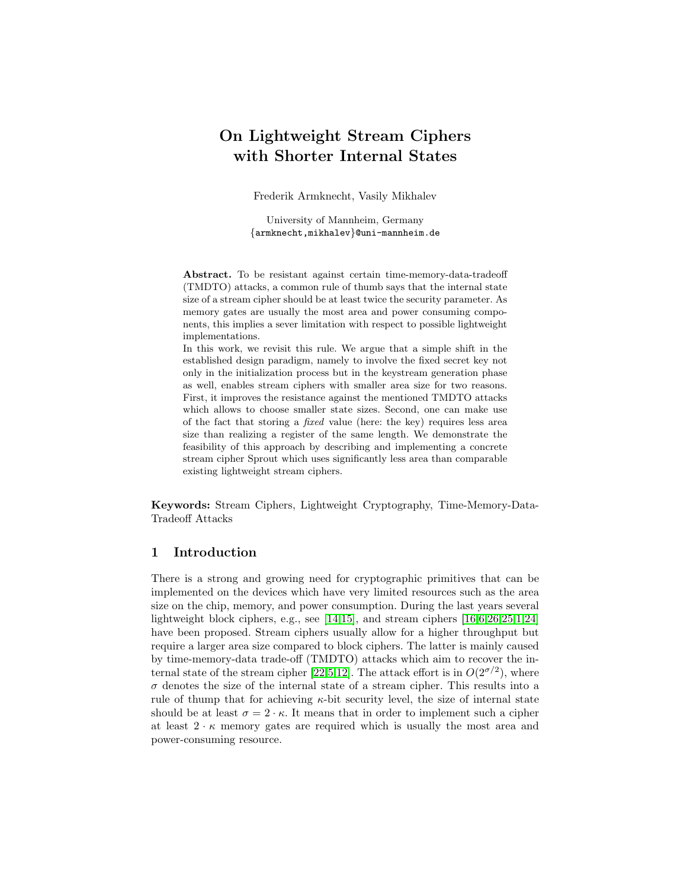# On Lightweight Stream Ciphers with Shorter Internal States

Frederik Armknecht, Vasily Mikhalev

University of Mannheim, Germany {armknecht,mikhalev}@uni-mannheim.de

Abstract. To be resistant against certain time-memory-data-tradeoff (TMDTO) attacks, a common rule of thumb says that the internal state size of a stream cipher should be at least twice the security parameter. As memory gates are usually the most area and power consuming components, this implies a sever limitation with respect to possible lightweight implementations.

In this work, we revisit this rule. We argue that a simple shift in the established design paradigm, namely to involve the fixed secret key not only in the initialization process but in the keystream generation phase as well, enables stream ciphers with smaller area size for two reasons. First, it improves the resistance against the mentioned TMDTO attacks which allows to choose smaller state sizes. Second, one can make use of the fact that storing a fixed value (here: the key) requires less area size than realizing a register of the same length. We demonstrate the feasibility of this approach by describing and implementing a concrete stream cipher Sprout which uses significantly less area than comparable existing lightweight stream ciphers.

Keywords: Stream Ciphers, Lightweight Cryptography, Time-Memory-Data-Tradeoff Attacks

# 1 Introduction

There is a strong and growing need for cryptographic primitives that can be implemented on the devices which have very limited resources such as the area size on the chip, memory, and power consumption. During the last years several lightweight block ciphers, e.g., see [\[14](#page-18-0)[,15\]](#page-18-1), and stream ciphers [\[16,](#page-18-2)[6,](#page-18-3)[26,](#page-19-0)[25,](#page-19-1)[1,](#page-17-0)[24\]](#page-19-2) have been proposed. Stream ciphers usually allow for a higher throughput but require a larger area size compared to block ciphers. The latter is mainly caused by time-memory-data trade-off (TMDTO) attacks which aim to recover the in-ternal state of the stream cipher [\[22,](#page-19-3)[5,](#page-18-4)[12\]](#page-18-5). The attack effort is in  $O(2^{\sigma/2})$ , where  $\sigma$  denotes the size of the internal state of a stream cipher. This results into a rule of thump that for achieving  $\kappa$ -bit security level, the size of internal state should be at least  $\sigma = 2 \cdot \kappa$ . It means that in order to implement such a cipher at least  $2 \cdot \kappa$  memory gates are required which is usually the most area and power-consuming resource.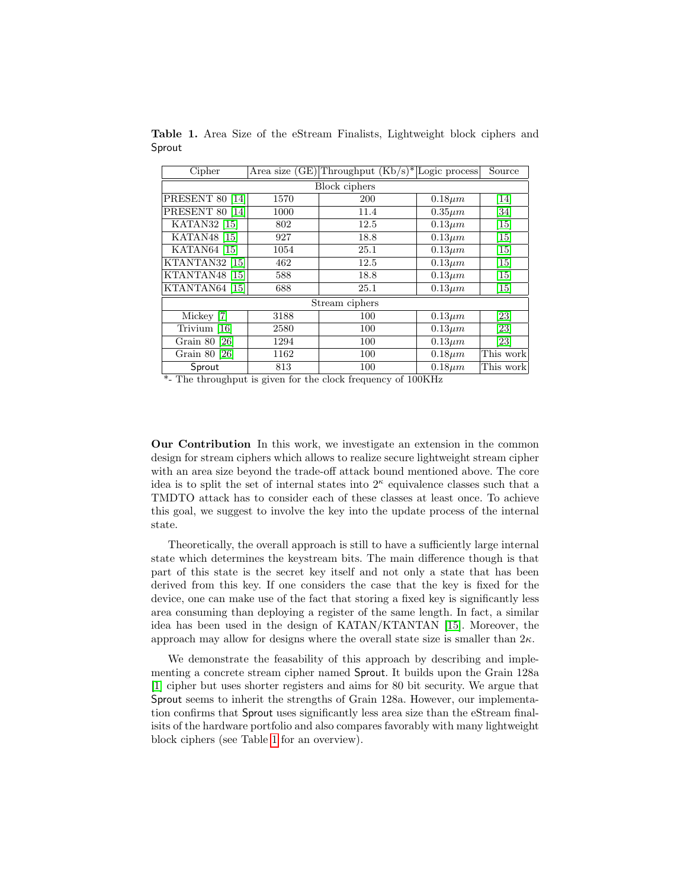| Cipher                    |      | Area size $(GE) $ Throughput $(Kb/s)^*$ Logic process |              | Source                        |  |  |  |
|---------------------------|------|-------------------------------------------------------|--------------|-------------------------------|--|--|--|
| <b>Block</b> ciphers      |      |                                                       |              |                               |  |  |  |
| <b>PRESENT 80 [14]</b>    | 1570 | <b>200</b>                                            | $0.18 \mu m$ | [14]                          |  |  |  |
| <b>PRESENT 80 [14]</b>    | 1000 | 11.4                                                  | $0.35 \mu m$ | [34]                          |  |  |  |
| <b>KATAN32</b> [15]       | 802  | 12.5                                                  | $0.13 \mu m$ | $\left[15\right]$             |  |  |  |
| <b>KATAN48</b> [15]       | 927  | 18.8                                                  | $0.13 \mu m$ | $[15]$                        |  |  |  |
| <b>KATAN64</b> [15]       | 1054 | 25.1                                                  | $0.13 \mu m$ | $\left\lceil 15 \right\rceil$ |  |  |  |
| KTANTAN32 <sup>[15]</sup> | 462  | 12.5                                                  | $0.13 \mu m$ | $[15]$                        |  |  |  |
| KTANTAN48 <sup>[15]</sup> | 588  | 18.8                                                  | $0.13 \mu m$ | $\left[15\right]$             |  |  |  |
| KTANTAN64 [15]            | 688  | 25.1                                                  | $0.13 \mu m$ | $\left\lceil 15 \right\rceil$ |  |  |  |
| Stream ciphers            |      |                                                       |              |                               |  |  |  |
| Mickey [7]                | 3188 | 100                                                   | $0.13 \mu m$ | [23]                          |  |  |  |
| Trivium [16]              | 2580 | 100                                                   | $0.13 \mu m$ | $\left[ 23\right]$            |  |  |  |
| Grain 80 [26]             | 1294 | 100                                                   | $0.13 \mu m$ | [23]                          |  |  |  |
| Grain 80 [26]             | 1162 | 100                                                   | $0.18 \mu m$ | This work                     |  |  |  |
| Sprout                    | 813  | 100                                                   | $0.18 \mu m$ | This work                     |  |  |  |

<span id="page-1-0"></span>Table 1. Area Size of the eStream Finalists, Lightweight block ciphers and Sprout

\*- The throughput is given for the clock frequency of  $100KHz$ 

Our Contribution In this work, we investigate an extension in the common design for stream ciphers which allows to realize secure lightweight stream cipher with an area size beyond the trade-off attack bound mentioned above. The core idea is to split the set of internal states into  $2^{\kappa}$  equivalence classes such that a TMDTO attack has to consider each of these classes at least once. To achieve this goal, we suggest to involve the key into the update process of the internal state.

Theoretically, the overall approach is still to have a sufficiently large internal state which determines the keystream bits. The main difference though is that part of this state is the secret key itself and not only a state that has been derived from this key. If one considers the case that the key is fixed for the device, one can make use of the fact that storing a fixed key is significantly less area consuming than deploying a register of the same length. In fact, a similar idea has been used in the design of KATAN/KTANTAN [\[15\]](#page-18-1). Moreover, the approach may allow for designs where the overall state size is smaller than  $2\kappa$ .

We demonstrate the feasability of this approach by describing and implementing a concrete stream cipher named Sprout. It builds upon the Grain 128a [\[1\]](#page-17-0) cipher but uses shorter registers and aims for 80 bit security. We argue that Sprout seems to inherit the strengths of Grain 128a. However, our implementation confirms that Sprout uses significantly less area size than the eStream finalisits of the hardware portfolio and also compares favorably with many lightweight block ciphers (see Table [1](#page-1-0) for an overview).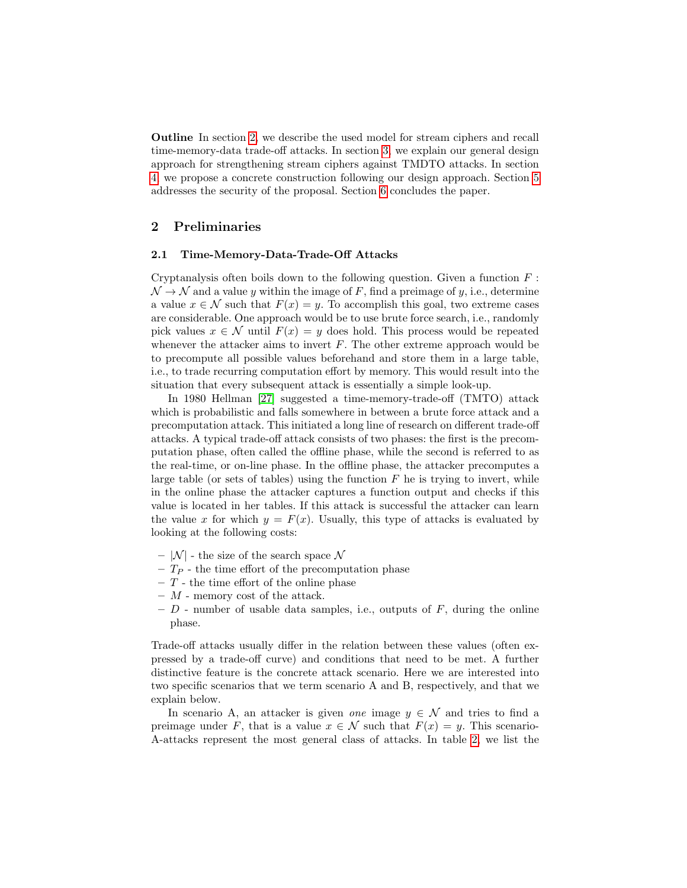Outline In section [2,](#page-2-0) we describe the used model for stream ciphers and recall time-memory-data trade-off attacks. In section [3,](#page-5-0) we explain our general design approach for strengthening stream ciphers against TMDTO attacks. In section [4,](#page-8-0) we propose a concrete construction following our design approach. Section [5](#page-14-0) addresses the security of the proposal. Section [6](#page-17-1) concludes the paper.

### <span id="page-2-0"></span>2 Preliminaries

### 2.1 Time-Memory-Data-Trade-Off Attacks

Cryptanalysis often boils down to the following question. Given a function  $F$ :  $\mathcal{N} \to \mathcal{N}$  and a value y within the image of F, find a preimage of y, i.e., determine a value  $x \in \mathcal{N}$  such that  $F(x) = y$ . To accomplish this goal, two extreme cases are considerable. One approach would be to use brute force search, i.e., randomly pick values  $x \in \mathcal{N}$  until  $F(x) = y$  does hold. This process would be repeated whenever the attacker aims to invert  $F$ . The other extreme approach would be to precompute all possible values beforehand and store them in a large table, i.e., to trade recurring computation effort by memory. This would result into the situation that every subsequent attack is essentially a simple look-up.

In 1980 Hellman [\[27\]](#page-19-6) suggested a time-memory-trade-off (TMTO) attack which is probabilistic and falls somewhere in between a brute force attack and a precomputation attack. This initiated a long line of research on different trade-off attacks. A typical trade-off attack consists of two phases: the first is the precomputation phase, often called the offline phase, while the second is referred to as the real-time, or on-line phase. In the offline phase, the attacker precomputes a large table (or sets of tables) using the function  $F$  he is trying to invert, while in the online phase the attacker captures a function output and checks if this value is located in her tables. If this attack is successful the attacker can learn the value x for which  $y = F(x)$ . Usually, this type of attacks is evaluated by looking at the following costs:

- $|\mathcal{N}|$  the size of the search space N
- $T_P$  the time effort of the precomputation phase
- $-$  T the time effort of the online phase
- $M$  memory cost of the attack.
- $-D$  number of usable data samples, i.e., outputs of F, during the online phase.

Trade-off attacks usually differ in the relation between these values (often expressed by a trade-off curve) and conditions that need to be met. A further distinctive feature is the concrete attack scenario. Here we are interested into two specific scenarios that we term scenario A and B, respectively, and that we explain below.

In scenario A, an attacker is given *one* image  $y \in \mathcal{N}$  and tries to find a preimage under F, that is a value  $x \in \mathcal{N}$  such that  $F(x) = y$ . This scenario-A-attacks represent the most general class of attacks. In table [2,](#page-3-0) we list the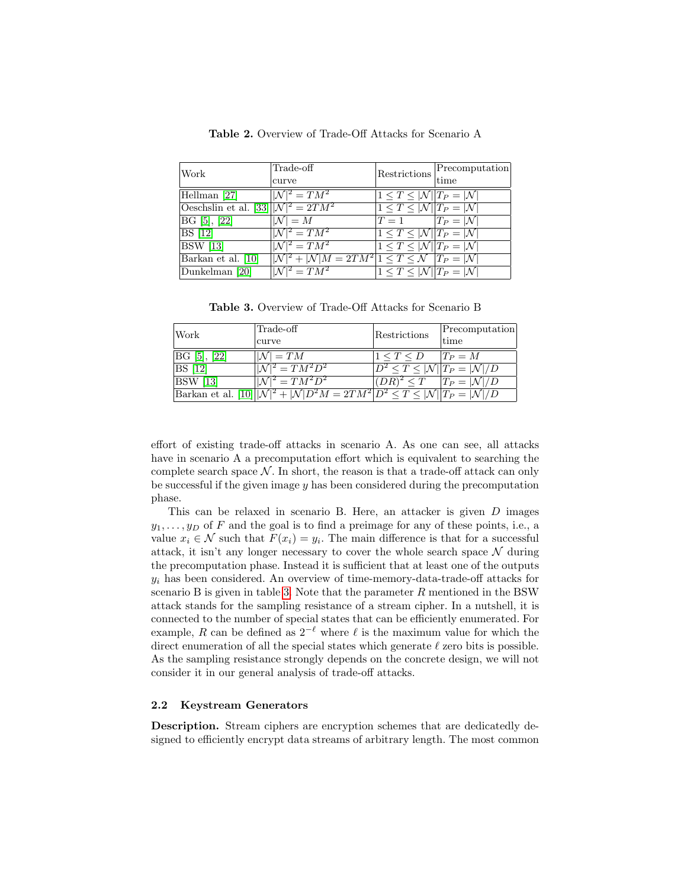| Work                                                 | Trade-off<br>curve                                                                                                            | Restrictions                                      | Precomputation<br>$\lim e$ |
|------------------------------------------------------|-------------------------------------------------------------------------------------------------------------------------------|---------------------------------------------------|----------------------------|
| Hellman [27]                                         | $ \mathcal{N} ^2 = TM^2$                                                                                                      | $1 \leq T \leq  \mathcal{N}   T_P   \mathcal{N} $ |                            |
| Oeschslin et al. $\sqrt{33}$    $\sqrt{2}$ = $2TM^2$ |                                                                                                                               | $1 \leq T \leq  \mathcal{N}   T_P   \mathcal{N} $ |                            |
| BG [5], [22]                                         | $ \mathcal{N} =M$                                                                                                             | $T=1$                                             | $ T_P = \mathcal{N} $      |
| <b>BS</b> [12]                                       | $\mathcal{N} ^2 = TM^2$                                                                                                       | $1 \leq T \leq  \mathcal{N}   T_P   \mathcal{N} $ |                            |
| <b>BSW</b> [13]                                      | $ \mathcal{N} ^2 = TM^2$                                                                                                      | $1 \leq T \leq  \mathcal{N}   T_P   \mathcal{N} $ |                            |
| Barkan et al. [10]                                   | $\overline{ \mathcal{N} ^2 +  \mathcal{N} M} = 2TM^2\overline{11} \leq T \leq \overline{\mathcal{N}}$ $ T_P  =  \mathcal{N} $ |                                                   |                            |
| Dunkelman [20]                                       | $ \mathcal{N} ^2 = TM^2$                                                                                                      | $1 \leq T \leq  \mathcal{N}   T_P   \mathcal{N} $ |                            |

<span id="page-3-0"></span>Table 2. Overview of Trade-Off Attacks for Scenario A

<span id="page-3-1"></span>Table 3. Overview of Trade-Off Attacks for Scenario B

| Work           | Trade-off<br>curve                                                                                                      | Restrictions                                          | Precomputation<br>$\lim e$ |
|----------------|-------------------------------------------------------------------------------------------------------------------------|-------------------------------------------------------|----------------------------|
| BG [5], [22]   | $ \mathcal{N}  = TM$                                                                                                    | $1 \leq T \leq D$                                     | $T_P = M$                  |
| <b>BS</b> [12] | $ {\cal N} ^2=TM^2D^2$                                                                                                  | $D^2 \leq T \leq  \mathcal{N}   T_P   \mathcal{N} /D$ |                            |
| BSW [13]       | $ \mathcal{N} ^2 = TM^2D^2$                                                                                             | $(DR)^2 < T$                                          | $ T_P = \mathcal{N} /D$    |
|                | Barkan et al. $[10]   \mathcal{N} ^2 +  \mathcal{N} D^2M = 2TM^2 D^2 \leq T \leq  \mathcal{N}   T_P  =  \mathcal{N} /D$ |                                                       |                            |

effort of existing trade-off attacks in scenario A. As one can see, all attacks have in scenario A a precomputation effort which is equivalent to searching the complete search space  $N$ . In short, the reason is that a trade-off attack can only be successful if the given image  $y$  has been considered during the precomputation phase.

This can be relaxed in scenario B. Here, an attacker is given D images  $y_1, \ldots, y_D$  of F and the goal is to find a preimage for any of these points, i.e., a value  $x_i \in \mathcal{N}$  such that  $F(x_i) = y_i$ . The main difference is that for a successful attack, it isn't any longer necessary to cover the whole search space  ${\mathcal N}$  during the precomputation phase. Instead it is sufficient that at least one of the outputs  $y_i$  has been considered. An overview of time-memory-data-trade-off attacks for scenario B is given in table [3.](#page-3-1) Note that the parameter  $R$  mentioned in the BSW attack stands for the sampling resistance of a stream cipher. In a nutshell, it is connected to the number of special states that can be efficiently enumerated. For example, R can be defined as  $2^{-\ell}$  where  $\ell$  is the maximum value for which the direct enumeration of all the special states which generate  $\ell$  zero bits is possible. As the sampling resistance strongly depends on the concrete design, we will not consider it in our general analysis of trade-off attacks.

#### 2.2 Keystream Generators

Description. Stream ciphers are encryption schemes that are dedicatedly designed to efficiently encrypt data streams of arbitrary length. The most common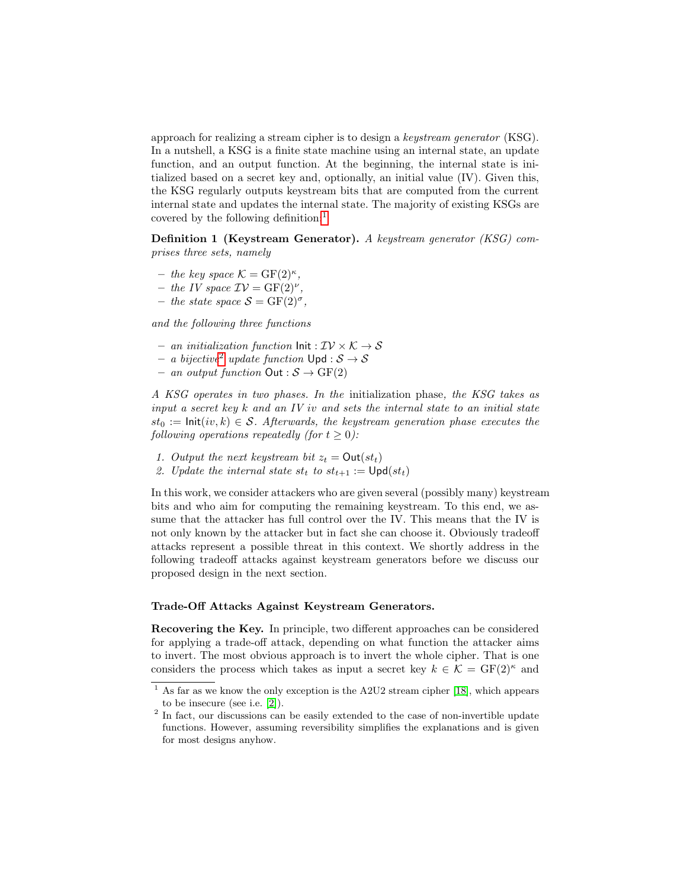approach for realizing a stream cipher is to design a keystream generator (KSG). In a nutshell, a KSG is a finite state machine using an internal state, an update function, and an output function. At the beginning, the internal state is initialized based on a secret key and, optionally, an initial value (IV). Given this, the KSG regularly outputs keystream bits that are computed from the current internal state and updates the internal state. The majority of existing KSGs are covered by the following definition:[1](#page-4-0)

<span id="page-4-2"></span>Definition 1 (Keystream Generator). A keystream generator (KSG) comprises three sets, namely

- the key space  $\mathcal{K} = \text{GF}(2)^{\kappa}$ ,
- the IV space  $\mathcal{IV} = \text{GF}(2)^{\nu}$ ,
- the state space  $S = GF(2)^{\sigma}$ ,

and the following three functions

- an initialization function  $\text{Init}: \mathcal{IV} \times \mathcal{K} \rightarrow \mathcal{S}$
- a bijective<sup>[2](#page-4-1)</sup> update function  $\cup$ pd :  $S \rightarrow S$
- an output function  $Out : \mathcal{S} \to GF(2)$

A KSG operates in two phases. In the initialization phase, the KSG takes as input a secret key  $k$  and an IV iv and sets the internal state to an initial state  $st_0 := \text{Init}(iv, k) \in \mathcal{S}$ . Afterwards, the keystream generation phase executes the following operations repeatedly (for  $t \geq 0$ ):

- 1. Output the next keystream bit  $z_t = Out(st_t)$
- 2. Update the internal state  $st_t$  to  $st_{t+1} := \text{Upd}(st_t)$

In this work, we consider attackers who are given several (possibly many) keystream bits and who aim for computing the remaining keystream. To this end, we assume that the attacker has full control over the IV. This means that the IV is not only known by the attacker but in fact she can choose it. Obviously tradeoff attacks represent a possible threat in this context. We shortly address in the following tradeoff attacks against keystream generators before we discuss our proposed design in the next section.

#### Trade-Off Attacks Against Keystream Generators.

Recovering the Key. In principle, two different approaches can be considered for applying a trade-off attack, depending on what function the attacker aims to invert. The most obvious approach is to invert the whole cipher. That is one considers the process which takes as input a secret key  $k \in \mathcal{K} = \text{GF}(2)^{\kappa}$  and

<span id="page-4-0"></span> $1$  As far as we know the only exception is the A2U2 stream cipher [\[18\]](#page-18-10), which appears to be insecure (see i.e. [\[2\]](#page-17-2)).

<span id="page-4-1"></span><sup>&</sup>lt;sup>2</sup> In fact, our discussions can be easily extended to the case of non-invertible update functions. However, assuming reversibility simplifies the explanations and is given for most designs anyhow.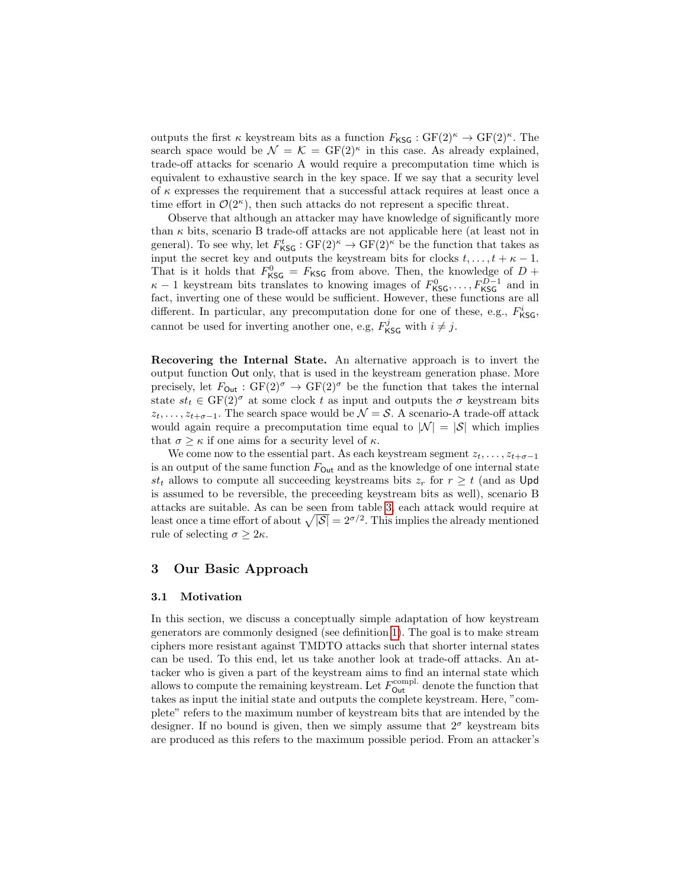outputs the first  $\kappa$  keystream bits as a function  $F_{\text{KSG}} : \text{GF}(2)^{\kappa} \to \text{GF}(2)^{\kappa}$ . The search space would be  $\mathcal{N} = \mathcal{K} = \text{GF}(2)^{\kappa}$  in this case. As already explained, trade-off attacks for scenario A would require a precomputation time which is equivalent to exhaustive search in the key space. If we say that a security level of  $\kappa$  expresses the requirement that a successful attack requires at least once a time effort in  $\mathcal{O}(2^{\kappa})$ , then such attacks do not represent a specific threat.

Observe that although an attacker may have knowledge of significantly more than  $\kappa$  bits, scenario B trade-off attacks are not applicable here (at least not in general). To see why, let  $F_{\mathsf{KSG}}^t : \mathrm{GF}(2)^\kappa \to \mathrm{GF}(2)^\kappa$  be the function that takes as input the secret key and outputs the keystream bits for clocks  $t, \ldots, t + \kappa - 1$ . That is it holds that  $F_{\text{KSG}}^0 = F_{\text{KSG}}$  from above. Then, the knowledge of  $D +$  $\kappa - 1$  keystream bits translates to knowing images of  $F_{\text{KSG}}^0, \ldots, F_{\text{KSG}}^{D-1}$  and in fact, inverting one of these would be sufficient. However, these functions are all different. In particular, any precomputation done for one of these, e.g.,  $F_{\text{KSG}}^i$ , cannot be used for inverting another one, e.g,  $F_{\text{KSG}}^j$  with  $i \neq j$ .

Recovering the Internal State. An alternative approach is to invert the output function Out only, that is used in the keystream generation phase. More precisely, let  $F_{\text{Out}}: GF(2)^{\sigma} \rightarrow GF(2)^{\sigma}$  be the function that takes the internal state  $st_t \in GF(2)^\sigma$  at some clock t as input and outputs the  $\sigma$  keystream bits  $z_t, \ldots, z_{t+\sigma-1}$ . The search space would be  $\mathcal{N} = \mathcal{S}$ . A scenario-A trade-off attack would again require a precomputation time equal to  $|\mathcal{N}| = |\mathcal{S}|$  which implies that  $\sigma > \kappa$  if one aims for a security level of  $\kappa$ .

We come now to the essential part. As each keystream segment  $z_t, \ldots, z_{t+\sigma-1}$ is an output of the same function  $F_{\text{Out}}$  and as the knowledge of one internal state  $st_t$  allows to compute all succeeding keystreams bits  $z_r$  for  $r \geq t$  (and as Upd is assumed to be reversible, the preceeding keystream bits as well), scenario B attacks are suitable. As can be seen from table [3,](#page-3-1) each attack would require at least once a time effort of about  $\sqrt{|\mathcal{S}|} = 2^{\sigma/2}$ . This implies the already mentioned rule of selecting  $\sigma \geq 2\kappa$ .

## <span id="page-5-0"></span>3 Our Basic Approach

#### 3.1 Motivation

In this section, we discuss a conceptually simple adaptation of how keystream generators are commonly designed (see definition [1\)](#page-4-2). The goal is to make stream ciphers more resistant against TMDTO attacks such that shorter internal states can be used. To this end, let us take another look at trade-off attacks. An attacker who is given a part of the keystream aims to find an internal state which allows to compute the remaining keystream. Let  $F_{\text{Out}}^{\text{compl.}}$  denote the function that takes as input the initial state and outputs the complete keystream. Here, "complete" refers to the maximum number of keystream bits that are intended by the designer. If no bound is given, then we simply assume that  $2^{\sigma}$  keystream bits are produced as this refers to the maximum possible period. From an attacker's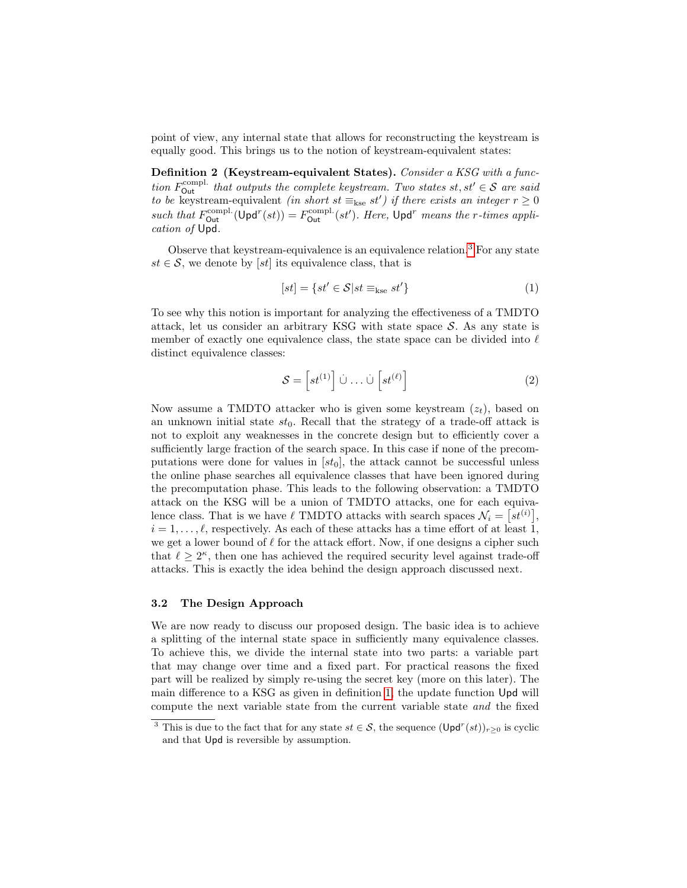point of view, any internal state that allows for reconstructing the keystream is equally good. This brings us to the notion of keystream-equivalent states:

Definition 2 (Keystream-equivalent States). Consider a KSG with a function  $F_{\text{Out}}^{\text{compl.}}$  that outputs the complete keystream. Two states st, st'  $\in \mathcal{S}$  are said to be keystream-equivalent (in short st  $\equiv_{\text{kse}} st'$ ) if there exists an integer  $r \geq 0$ such that  $F_{\text{Out}}^{\text{compl.}}(\text{Upd}^r(st)) = F_{\text{Out}}^{\text{compl.}}(st')$ . Here,  $\text{Upd}^r$  means the r-times application of Upd.

Observe that keystream-equivalence is an equivalence relation.<sup>[3](#page-6-0)</sup> For any state  $st \in \mathcal{S}$ , we denote by [st] its equivalence class, that is

$$
[st] = \{ st' \in \mathcal{S} | st \equiv_{\text{kse}} st' \}
$$
 (1)

To see why this notion is important for analyzing the effectiveness of a TMDTO attack, let us consider an arbitrary KSG with state space  $S$ . As any state is member of exactly one equivalence class, the state space can be divided into  $\ell$ distinct equivalence classes:

$$
\mathcal{S} = \left[ st^{(1)} \right] \cup \ldots \cup \left[ st^{(\ell)} \right] \tag{2}
$$

Now assume a TMDTO attacker who is given some keystream  $(z_t)$ , based on an unknown initial state  $st_0$ . Recall that the strategy of a trade-off attack is not to exploit any weaknesses in the concrete design but to efficiently cover a sufficiently large fraction of the search space. In this case if none of the precomputations were done for values in  $[st_0]$ , the attack cannot be successful unless the online phase searches all equivalence classes that have been ignored during the precomputation phase. This leads to the following observation: a TMDTO attack on the KSG will be a union of TMDTO attacks, one for each equivalence class. That is we have  $\ell$  TMDTO attacks with search spaces  $\mathcal{N}_i = [st^{(i)}],$  $i = 1, \ldots, \ell$ , respectively. As each of these attacks has a time effort of at least 1, we get a lower bound of  $\ell$  for the attack effort. Now, if one designs a cipher such that  $\ell \geq 2^{\kappa}$ , then one has achieved the required security level against trade-off attacks. This is exactly the idea behind the design approach discussed next.

#### <span id="page-6-1"></span>3.2 The Design Approach

We are now ready to discuss our proposed design. The basic idea is to achieve a splitting of the internal state space in sufficiently many equivalence classes. To achieve this, we divide the internal state into two parts: a variable part that may change over time and a fixed part. For practical reasons the fixed part will be realized by simply re-using the secret key (more on this later). The main difference to a KSG as given in definition [1,](#page-4-2) the update function Upd will compute the next variable state from the current variable state and the fixed

<span id="page-6-0"></span><sup>&</sup>lt;sup>3</sup> This is due to the fact that for any state  $st \in \mathcal{S}$ , the sequence  $(\text{Upd}^r(st))_{r\geq 0}$  is cyclic and that Upd is reversible by assumption.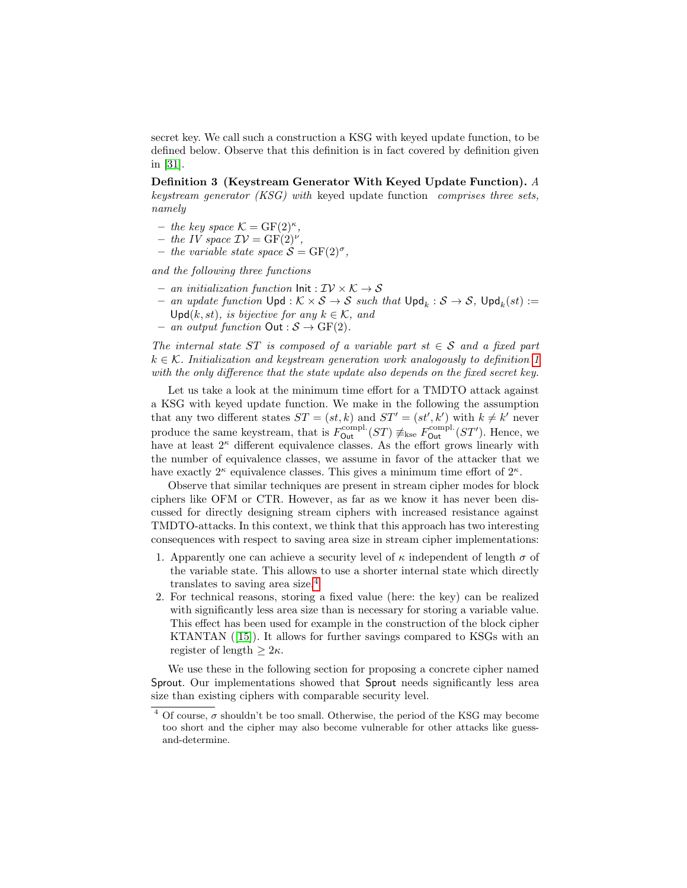secret key. We call such a construction a KSG with keyed update function, to be defined below. Observe that this definition is in fact covered by definition given in [\[31\]](#page-19-8).

Definition 3 (Keystream Generator With Keyed Update Function). A keystream generator (KSG) with keyed update function comprises three sets, namely

- the key space  $\mathcal{K} = \text{GF}(2)^{\kappa}$ ,
- the IV space  $\mathcal{IV} = \text{GF}(2)^{\nu}$ ,
- the variable state space  $S = GF(2)^{\sigma}$ ,

and the following three functions

- an initialization function  $\text{Init}: \mathcal{IV} \times \mathcal{K} \rightarrow \mathcal{S}$
- an update function  $\textsf{Upd}: \mathcal{K} \times \mathcal{S} \to \mathcal{S}$  such that  $\textsf{Upd}_k: \mathcal{S} \to \mathcal{S}$ ,  $\textsf{Upd}_k(st) :=$  $\textsf{Upd}(k, st)$ , is bijective for any  $k \in \mathcal{K}$ , and
- an output function  $\text{Out}: \mathcal{S} \to \text{GF}(2)$ .

The internal state ST is composed of a variable part st  $\in$  S and a fixed part  $k \in \mathcal{K}$ . Initialization and keystream generation work analogously to definition [1](#page-4-2) with the only difference that the state update also depends on the fixed secret key.

Let us take a look at the minimum time effort for a TMDTO attack against a KSG with keyed update function. We make in the following the assumption that any two different states  $ST = (st, k)$  and  $ST' = (st', k')$  with  $k \neq k'$  never produce the same keystream, that is  $F_{\text{Out}}^{\text{compl.}}(ST) \neq_{\text{kse}} F_{\text{Out}}^{\text{compl.}}(ST')$ . Hence, we have at least  $2^{\kappa}$  different equivalence classes. As the effort grows linearly with the number of equivalence classes, we assume in favor of the attacker that we have exactly  $2^{\kappa}$  equivalence classes. This gives a minimum time effort of  $2^{\kappa}$ .

Observe that similar techniques are present in stream cipher modes for block ciphers like OFM or CTR. However, as far as we know it has never been discussed for directly designing stream ciphers with increased resistance against TMDTO-attacks. In this context, we think that this approach has two interesting consequences with respect to saving area size in stream cipher implementations:

- 1. Apparently one can achieve a security level of  $\kappa$  independent of length  $\sigma$  of the variable state. This allows to use a shorter internal state which directly translates to saving area size.[4](#page-7-0)
- 2. For technical reasons, storing a fixed value (here: the key) can be realized with significantly less area size than is necessary for storing a variable value. This effect has been used for example in the construction of the block cipher KTANTAN ([\[15\]](#page-18-1)). It allows for further savings compared to KSGs with an register of length  $\geq 2\kappa$ .

We use these in the following section for proposing a concrete cipher named Sprout. Our implementations showed that Sprout needs significantly less area size than existing ciphers with comparable security level.

<span id="page-7-0"></span><sup>&</sup>lt;sup>4</sup> Of course,  $\sigma$  shouldn't be too small. Otherwise, the period of the KSG may become too short and the cipher may also become vulnerable for other attacks like guessand-determine.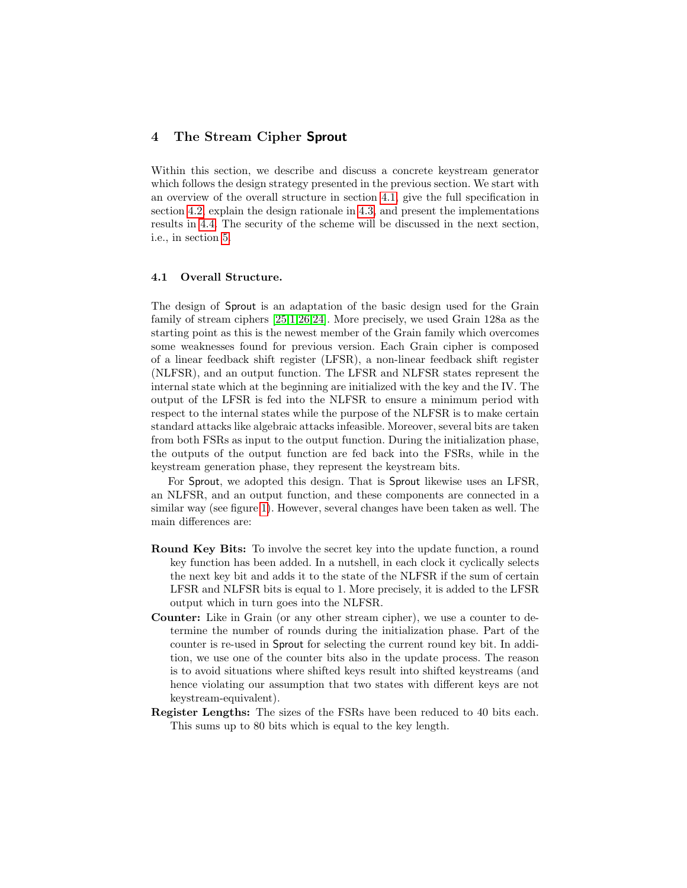# <span id="page-8-0"></span>4 The Stream Cipher Sprout

Within this section, we describe and discuss a concrete keystream generator which follows the design strategy presented in the previous section. We start with an overview of the overall structure in section [4.1,](#page-8-1) give the full specification in section [4.2,](#page-9-0) explain the design rationale in [4.3,](#page-10-0) and present the implementations results in [4.4.](#page-13-0) The security of the scheme will be discussed in the next section, i.e., in section [5.](#page-14-0)

### <span id="page-8-1"></span>4.1 Overall Structure.

The design of Sprout is an adaptation of the basic design used for the Grain family of stream ciphers [\[25,](#page-19-1)[1](#page-17-0)[,26,](#page-19-0)[24\]](#page-19-2). More precisely, we used Grain 128a as the starting point as this is the newest member of the Grain family which overcomes some weaknesses found for previous version. Each Grain cipher is composed of a linear feedback shift register (LFSR), a non-linear feedback shift register (NLFSR), and an output function. The LFSR and NLFSR states represent the internal state which at the beginning are initialized with the key and the IV. The output of the LFSR is fed into the NLFSR to ensure a minimum period with respect to the internal states while the purpose of the NLFSR is to make certain standard attacks like algebraic attacks infeasible. Moreover, several bits are taken from both FSRs as input to the output function. During the initialization phase, the outputs of the output function are fed back into the FSRs, while in the keystream generation phase, they represent the keystream bits.

For Sprout, we adopted this design. That is Sprout likewise uses an LFSR, an NLFSR, and an output function, and these components are connected in a similar way (see figure [1\)](#page-9-1). However, several changes have been taken as well. The main differences are:

- Round Key Bits: To involve the secret key into the update function, a round key function has been added. In a nutshell, in each clock it cyclically selects the next key bit and adds it to the state of the NLFSR if the sum of certain LFSR and NLFSR bits is equal to 1. More precisely, it is added to the LFSR output which in turn goes into the NLFSR.
- Counter: Like in Grain (or any other stream cipher), we use a counter to determine the number of rounds during the initialization phase. Part of the counter is re-used in Sprout for selecting the current round key bit. In addition, we use one of the counter bits also in the update process. The reason is to avoid situations where shifted keys result into shifted keystreams (and hence violating our assumption that two states with different keys are not keystream-equivalent).
- Register Lengths: The sizes of the FSRs have been reduced to 40 bits each. This sums up to 80 bits which is equal to the key length.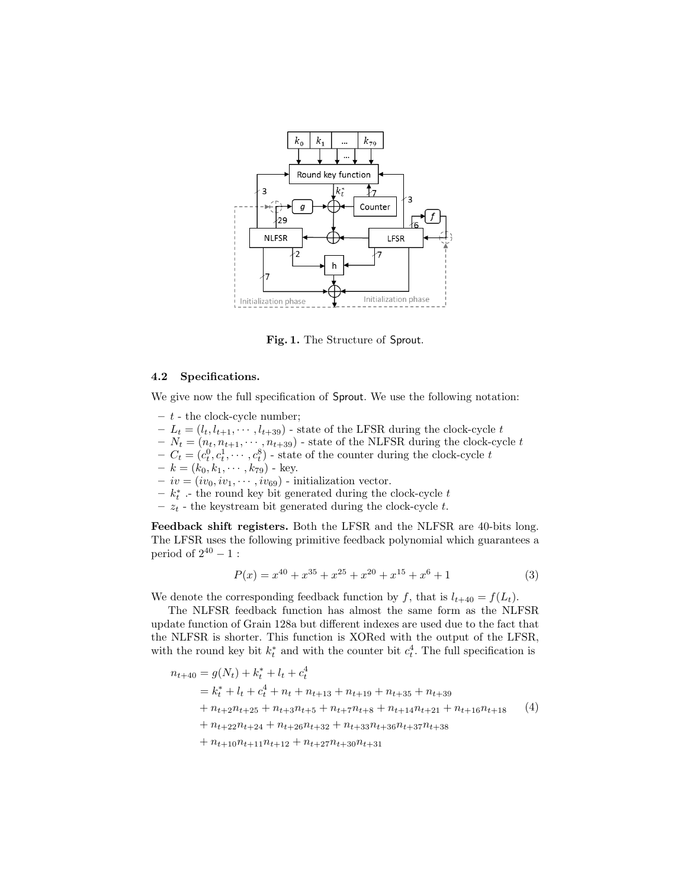

<span id="page-9-1"></span>Fig. 1. The Structure of Sprout.

### <span id="page-9-0"></span>4.2 Specifications.

We give now the full specification of Sprout. We use the following notation:

- $t$  the clock-cycle number;
- $-L_t = (l_t, l_{t+1}, \dots, l_{t+39})$  state of the LFSR during the clock-cycle t
- $N_t = (n_t, n_{t+1}, \dots, n_{t+39})$  state of the NLFSR during the clock-cycle t
- $C_t = (c_t^0, c_t^1, \dots, c_t^8)$  state of the counter during the clock-cycle  $t$
- $-k = (k_0, k_1, \cdots, k_{79})$  key.
- $iv = (iv_0, iv_1, \dots, iv_{69})$  initialization vector.
- −  $k_t^*$  .- the round key bit generated during the clock-cycle  $t$
- $z_t$  the keystream bit generated during the clock-cycle  $t.$

Feedback shift registers. Both the LFSR and the NLFSR are 40-bits long. The LFSR uses the following primitive feedback polynomial which guarantees a period of  $2^{40} - 1$ :

<span id="page-9-2"></span>
$$
P(x) = x^{40} + x^{35} + x^{25} + x^{20} + x^{15} + x^6 + 1
$$
\n(3)

We denote the corresponding feedback function by f, that is  $l_{t+40} = f(L_t)$ .

The NLFSR feedback function has almost the same form as the NLFSR update function of Grain 128a but different indexes are used due to the fact that the NLFSR is shorter. This function is XORed with the output of the LFSR, with the round key bit  $k_t^*$  and with the counter bit  $c_t^4$ . The full specification is

<span id="page-9-3"></span>
$$
n_{t+40} = g(N_t) + k_t^* + l_t + c_t^4
$$
  
=  $k_t^* + l_t + c_t^4 + n_t + n_{t+13} + n_{t+19} + n_{t+35} + n_{t+39}$   
+  $n_{t+2}n_{t+25} + n_{t+3}n_{t+5} + n_{t+7}n_{t+8} + n_{t+14}n_{t+21} + n_{t+16}n_{t+18}$  (4)  
+  $n_{t+22}n_{t+24} + n_{t+26}n_{t+32} + n_{t+33}n_{t+36}n_{t+37}n_{t+38}$   
+  $n_{t+10}n_{t+11}n_{t+12} + n_{t+27}n_{t+30}n_{t+31}$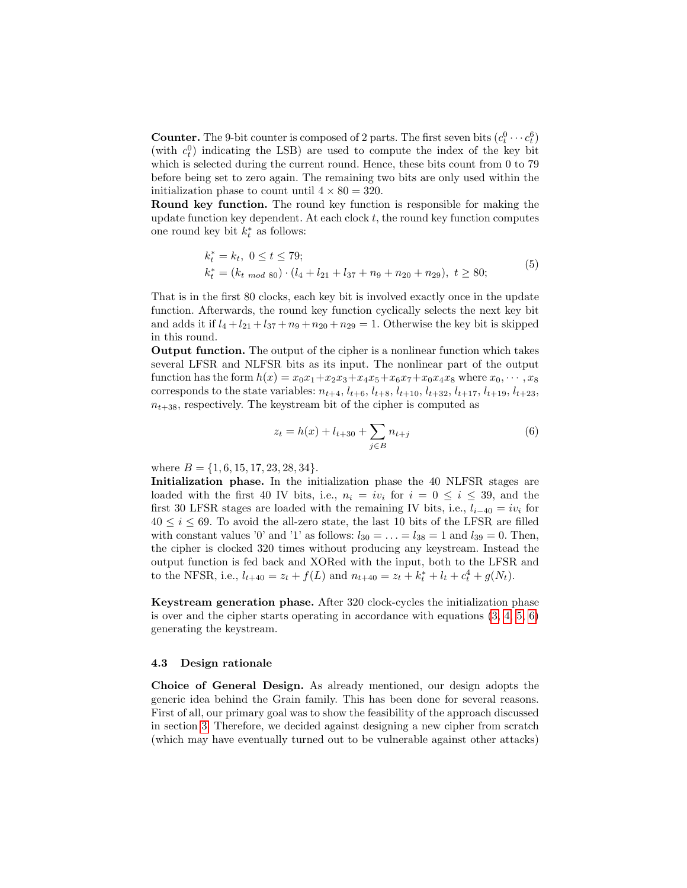**Counter.** The 9-bit counter is composed of 2 parts. The first seven bits  $(c_t^0 \cdots c_t^6)$ (with  $c_t^0$ ) indicating the LSB) are used to compute the index of the key bit which is selected during the current round. Hence, these bits count from 0 to 79 before being set to zero again. The remaining two bits are only used within the initialization phase to count until  $4 \times 80 = 320$ .

Round key function. The round key function is responsible for making the update function key dependent. At each clock  $t$ , the round key function computes one round key bit  $k_t^*$  as follows:

<span id="page-10-1"></span>
$$
k_t^* = k_t, \ 0 \le t \le 79; \nk_t^* = (k_t \mod 80) \cdot (l_4 + l_{21} + l_{37} + n_9 + n_{20} + n_{29}), \ t \ge 80;
$$
\n<sup>(5)</sup>

That is in the first 80 clocks, each key bit is involved exactly once in the update function. Afterwards, the round key function cyclically selects the next key bit and adds it if  $l_4 + l_{21} + l_{37} + n_9 + n_{20} + n_{29} = 1$ . Otherwise the key bit is skipped in this round.

Output function. The output of the cipher is a nonlinear function which takes several LFSR and NLFSR bits as its input. The nonlinear part of the output function has the form  $h(x) = x_0x_1+x_2x_3+x_4x_5+x_6x_7+x_0x_4x_8$  where  $x_0, \dots, x_8$ corresponds to the state variables:  $n_{t+4}$ ,  $l_{t+6}$ ,  $l_{t+8}$ ,  $l_{t+10}$ ,  $l_{t+32}$ ,  $l_{t+17}$ ,  $l_{t+19}$ ,  $l_{t+23}$ ,  $n_{t+38}$ , respectively. The keystream bit of the cipher is computed as

<span id="page-10-2"></span>
$$
z_t = h(x) + l_{t+30} + \sum_{j \in B} n_{t+j}
$$
\n(6)

where  $B = \{1, 6, 15, 17, 23, 28, 34\}.$ 

Initialization phase. In the initialization phase the 40 NLFSR stages are loaded with the first 40 IV bits, i.e.,  $n_i = iv_i$  for  $i = 0 \le i \le 39$ , and the first 30 LFSR stages are loaded with the remaining IV bits, i.e.,  $l_{i-40} = iv_i$  for  $40 \leq i \leq 69$ . To avoid the all-zero state, the last 10 bits of the LFSR are filled with constant values '0' and '1' as follows:  $l_{30} = \ldots = l_{38} = 1$  and  $l_{39} = 0$ . Then, the cipher is clocked 320 times without producing any keystream. Instead the output function is fed back and XORed with the input, both to the LFSR and to the NFSR, i.e.,  $l_{t+40} = z_t + f(L)$  and  $n_{t+40} = z_t + k_t^* + l_t + c_t^4 + g(N_t)$ .

Keystream generation phase. After 320 clock-cycles the initialization phase is over and the cipher starts operating in accordance with equations [\(3,](#page-9-2) [4,](#page-9-3) [5,](#page-10-1) [6\)](#page-10-2) generating the keystream.

#### <span id="page-10-0"></span>4.3 Design rationale

Choice of General Design. As already mentioned, our design adopts the generic idea behind the Grain family. This has been done for several reasons. First of all, our primary goal was to show the feasibility of the approach discussed in section [3.](#page-5-0) Therefore, we decided against designing a new cipher from scratch (which may have eventually turned out to be vulnerable against other attacks)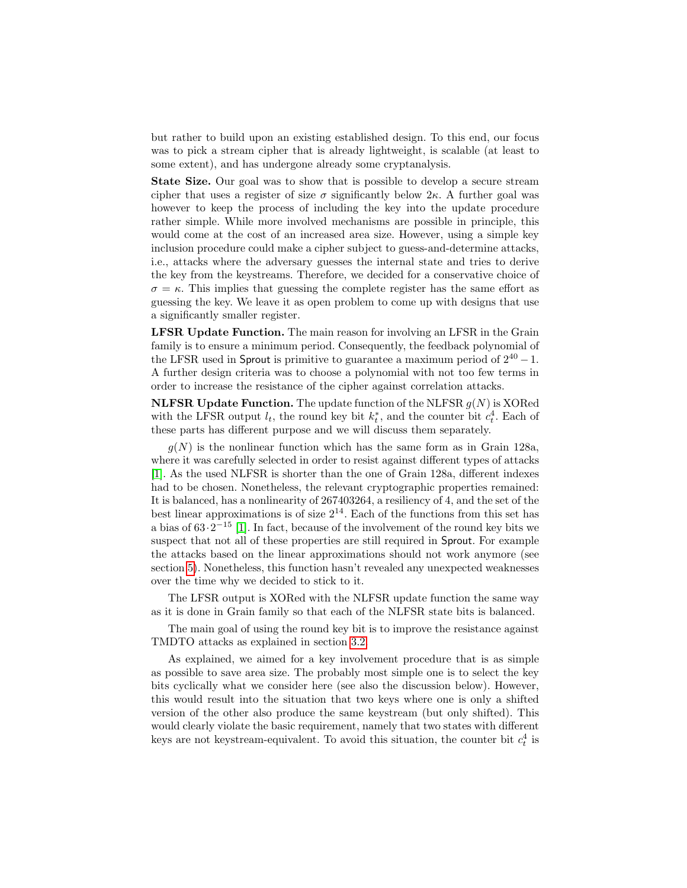but rather to build upon an existing established design. To this end, our focus was to pick a stream cipher that is already lightweight, is scalable (at least to some extent), and has undergone already some cryptanalysis.

State Size. Our goal was to show that is possible to develop a secure stream cipher that uses a register of size  $\sigma$  significantly below  $2\kappa$ . A further goal was however to keep the process of including the key into the update procedure rather simple. While more involved mechanisms are possible in principle, this would come at the cost of an increased area size. However, using a simple key inclusion procedure could make a cipher subject to guess-and-determine attacks, i.e., attacks where the adversary guesses the internal state and tries to derive the key from the keystreams. Therefore, we decided for a conservative choice of  $\sigma = \kappa$ . This implies that guessing the complete register has the same effort as guessing the key. We leave it as open problem to come up with designs that use a significantly smaller register.

LFSR Update Function. The main reason for involving an LFSR in the Grain family is to ensure a minimum period. Consequently, the feedback polynomial of the LFSR used in Sprout is primitive to guarantee a maximum period of  $2^{40} - 1$ . A further design criteria was to choose a polynomial with not too few terms in order to increase the resistance of the cipher against correlation attacks.

**NLFSR Update Function.** The update function of the NLFSR  $g(N)$  is XORed with the LFSR output  $l_t$ , the round key bit  $k_t^*$ , and the counter bit  $c_t^4$ . Each of these parts has different purpose and we will discuss them separately.

 $g(N)$  is the nonlinear function which has the same form as in Grain 128a, where it was carefully selected in order to resist against different types of attacks [\[1\]](#page-17-0). As the used NLFSR is shorter than the one of Grain 128a, different indexes had to be chosen. Nonetheless, the relevant cryptographic properties remained: It is balanced, has a nonlinearity of 267403264, a resiliency of 4, and the set of the best linear approximations is of size  $2^{14}$ . Each of the functions from this set has a bias of  $63 \cdot 2^{-15}$  [\[1\]](#page-17-0). In fact, because of the involvement of the round key bits we suspect that not all of these properties are still required in Sprout. For example the attacks based on the linear approximations should not work anymore (see section [5\)](#page-14-0). Nonetheless, this function hasn't revealed any unexpected weaknesses over the time why we decided to stick to it.

The LFSR output is XORed with the NLFSR update function the same way as it is done in Grain family so that each of the NLFSR state bits is balanced.

The main goal of using the round key bit is to improve the resistance against TMDTO attacks as explained in section [3.2.](#page-6-1)

As explained, we aimed for a key involvement procedure that is as simple as possible to save area size. The probably most simple one is to select the key bits cyclically what we consider here (see also the discussion below). However, this would result into the situation that two keys where one is only a shifted version of the other also produce the same keystream (but only shifted). This would clearly violate the basic requirement, namely that two states with different keys are not keystream-equivalent. To avoid this situation, the counter bit  $c_t^4$  is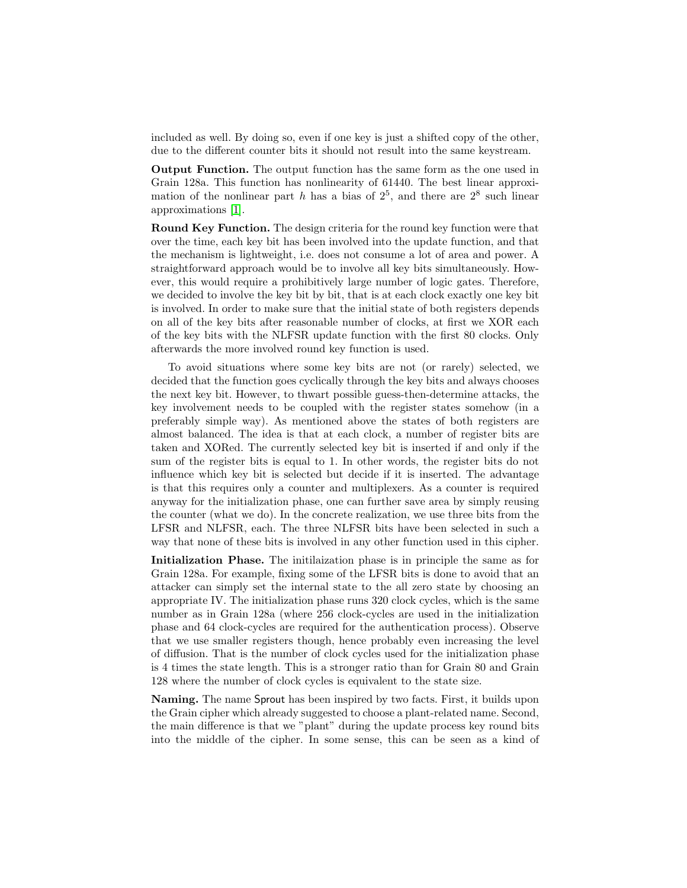included as well. By doing so, even if one key is just a shifted copy of the other, due to the different counter bits it should not result into the same keystream.

Output Function. The output function has the same form as the one used in Grain 128a. This function has nonlinearity of 61440. The best linear approximation of the nonlinear part h has a bias of  $2^5$ , and there are  $2^8$  such linear approximations [\[1\]](#page-17-0).

Round Key Function. The design criteria for the round key function were that over the time, each key bit has been involved into the update function, and that the mechanism is lightweight, i.e. does not consume a lot of area and power. A straightforward approach would be to involve all key bits simultaneously. However, this would require a prohibitively large number of logic gates. Therefore, we decided to involve the key bit by bit, that is at each clock exactly one key bit is involved. In order to make sure that the initial state of both registers depends on all of the key bits after reasonable number of clocks, at first we XOR each of the key bits with the NLFSR update function with the first 80 clocks. Only afterwards the more involved round key function is used.

To avoid situations where some key bits are not (or rarely) selected, we decided that the function goes cyclically through the key bits and always chooses the next key bit. However, to thwart possible guess-then-determine attacks, the key involvement needs to be coupled with the register states somehow (in a preferably simple way). As mentioned above the states of both registers are almost balanced. The idea is that at each clock, a number of register bits are taken and XORed. The currently selected key bit is inserted if and only if the sum of the register bits is equal to 1. In other words, the register bits do not influence which key bit is selected but decide if it is inserted. The advantage is that this requires only a counter and multiplexers. As a counter is required anyway for the initialization phase, one can further save area by simply reusing the counter (what we do). In the concrete realization, we use three bits from the LFSR and NLFSR, each. The three NLFSR bits have been selected in such a way that none of these bits is involved in any other function used in this cipher.

Initialization Phase. The initilaization phase is in principle the same as for Grain 128a. For example, fixing some of the LFSR bits is done to avoid that an attacker can simply set the internal state to the all zero state by choosing an appropriate IV. The initialization phase runs 320 clock cycles, which is the same number as in Grain 128a (where 256 clock-cycles are used in the initialization phase and 64 clock-cycles are required for the authentication process). Observe that we use smaller registers though, hence probably even increasing the level of diffusion. That is the number of clock cycles used for the initialization phase is 4 times the state length. This is a stronger ratio than for Grain 80 and Grain 128 where the number of clock cycles is equivalent to the state size.

Naming. The name Sprout has been inspired by two facts. First, it builds upon the Grain cipher which already suggested to choose a plant-related name. Second, the main difference is that we "plant" during the update process key round bits into the middle of the cipher. In some sense, this can be seen as a kind of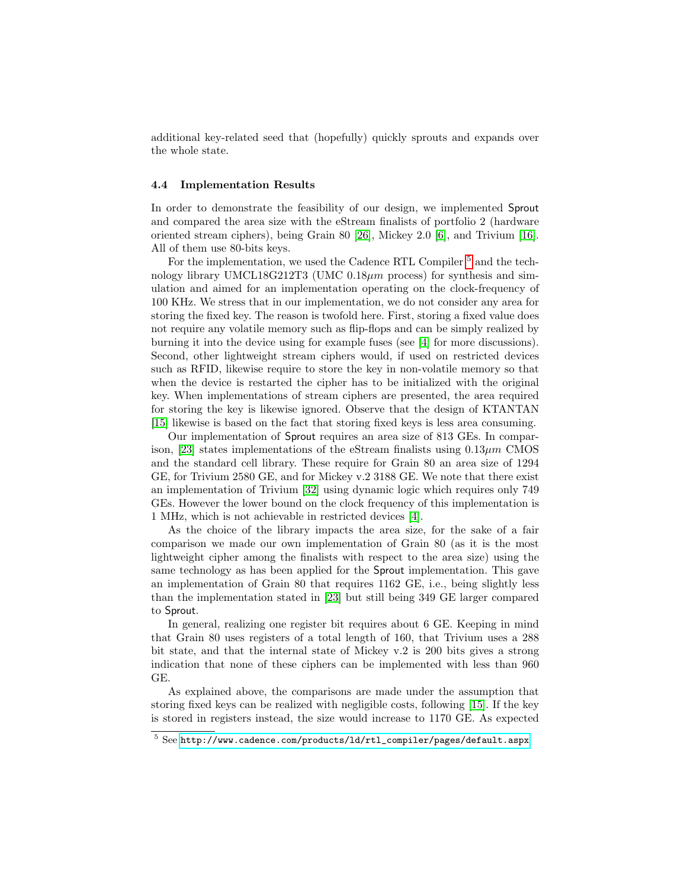additional key-related seed that (hopefully) quickly sprouts and expands over the whole state.

### <span id="page-13-0"></span>4.4 Implementation Results

In order to demonstrate the feasibility of our design, we implemented Sprout and compared the area size with the eStream finalists of portfolio 2 (hardware oriented stream ciphers), being Grain 80 [\[26\]](#page-19-0), Mickey 2.0 [\[6\]](#page-18-3), and Trivium [\[16\]](#page-18-2). All of them use 80-bits keys.

For the implementation, we used the Cadence RTL Compiler  $^5$  $^5$  and the technology library UMCL18G212T3 (UMC  $0.18 \mu m$  process) for synthesis and simulation and aimed for an implementation operating on the clock-frequency of 100 KHz. We stress that in our implementation, we do not consider any area for storing the fixed key. The reason is twofold here. First, storing a fixed value does not require any volatile memory such as flip-flops and can be simply realized by burning it into the device using for example fuses (see [\[4\]](#page-17-3) for more discussions). Second, other lightweight stream ciphers would, if used on restricted devices such as RFID, likewise require to store the key in non-volatile memory so that when the device is restarted the cipher has to be initialized with the original key. When implementations of stream ciphers are presented, the area required for storing the key is likewise ignored. Observe that the design of KTANTAN [\[15\]](#page-18-1) likewise is based on the fact that storing fixed keys is less area consuming.

Our implementation of Sprout requires an area size of 813 GEs. In compar-ison, [\[23\]](#page-19-5) states implementations of the eStream finalists using  $0.13 \mu m$  CMOS and the standard cell library. These require for Grain 80 an area size of 1294 GE, for Trivium 2580 GE, and for Mickey v.2 3188 GE. We note that there exist an implementation of Trivium [\[32\]](#page-19-9) using dynamic logic which requires only 749 GEs. However the lower bound on the clock frequency of this implementation is 1 MHz, which is not achievable in restricted devices [\[4\]](#page-17-3).

As the choice of the library impacts the area size, for the sake of a fair comparison we made our own implementation of Grain 80 (as it is the most lightweight cipher among the finalists with respect to the area size) using the same technology as has been applied for the Sprout implementation. This gave an implementation of Grain 80 that requires 1162 GE, i.e., being slightly less than the implementation stated in [\[23\]](#page-19-5) but still being 349 GE larger compared to Sprout.

In general, realizing one register bit requires about 6 GE. Keeping in mind that Grain 80 uses registers of a total length of 160, that Trivium uses a 288 bit state, and that the internal state of Mickey v.2 is 200 bits gives a strong indication that none of these ciphers can be implemented with less than 960 GE.

As explained above, the comparisons are made under the assumption that storing fixed keys can be realized with negligible costs, following [\[15\]](#page-18-1). If the key is stored in registers instead, the size would increase to 1170 GE. As expected

<span id="page-13-1"></span> $\frac{5}{6}$  See [http://www.cadence.com/products/ld/rtl\\_compiler/pages/default.aspx](http://www.cadence.com/products/ld/rtl_compiler/pages/default.aspx)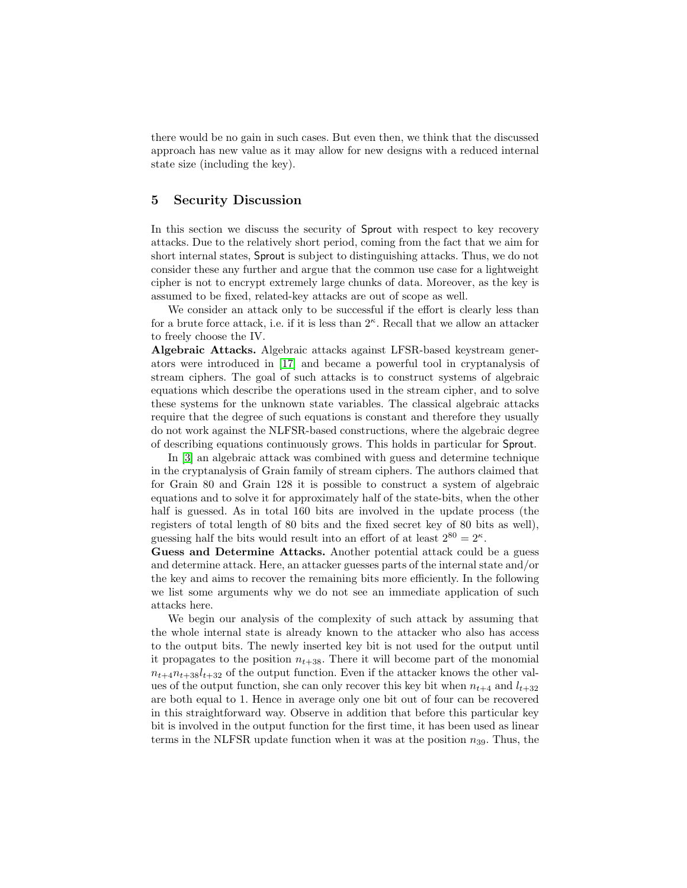there would be no gain in such cases. But even then, we think that the discussed approach has new value as it may allow for new designs with a reduced internal state size (including the key).

### <span id="page-14-0"></span>5 Security Discussion

In this section we discuss the security of Sprout with respect to key recovery attacks. Due to the relatively short period, coming from the fact that we aim for short internal states, Sprout is subject to distinguishing attacks. Thus, we do not consider these any further and argue that the common use case for a lightweight cipher is not to encrypt extremely large chunks of data. Moreover, as the key is assumed to be fixed, related-key attacks are out of scope as well.

We consider an attack only to be successful if the effort is clearly less than for a brute force attack, i.e. if it is less than  $2^{\kappa}$ . Recall that we allow an attacker to freely choose the IV.

Algebraic Attacks. Algebraic attacks against LFSR-based keystream generators were introduced in [\[17\]](#page-18-11) and became a powerful tool in cryptanalysis of stream ciphers. The goal of such attacks is to construct systems of algebraic equations which describe the operations used in the stream cipher, and to solve these systems for the unknown state variables. The classical algebraic attacks require that the degree of such equations is constant and therefore they usually do not work against the NLFSR-based constructions, where the algebraic degree of describing equations continuously grows. This holds in particular for Sprout.

In [\[3\]](#page-17-4) an algebraic attack was combined with guess and determine technique in the cryptanalysis of Grain family of stream ciphers. The authors claimed that for Grain 80 and Grain 128 it is possible to construct a system of algebraic equations and to solve it for approximately half of the state-bits, when the other half is guessed. As in total 160 bits are involved in the update process (the registers of total length of 80 bits and the fixed secret key of 80 bits as well), guessing half the bits would result into an effort of at least  $2^{80} = 2^{\kappa}$ .

Guess and Determine Attacks. Another potential attack could be a guess and determine attack. Here, an attacker guesses parts of the internal state and/or the key and aims to recover the remaining bits more efficiently. In the following we list some arguments why we do not see an immediate application of such attacks here.

We begin our analysis of the complexity of such attack by assuming that the whole internal state is already known to the attacker who also has access to the output bits. The newly inserted key bit is not used for the output until it propagates to the position  $n_{t+38}$ . There it will become part of the monomial  $n_{t+4}n_{t+38}l_{t+32}$  of the output function. Even if the attacker knows the other values of the output function, she can only recover this key bit when  $n_{t+4}$  and  $l_{t+32}$ are both equal to 1. Hence in average only one bit out of four can be recovered in this straightforward way. Observe in addition that before this particular key bit is involved in the output function for the first time, it has been used as linear terms in the NLFSR update function when it was at the position  $n_{39}$ . Thus, the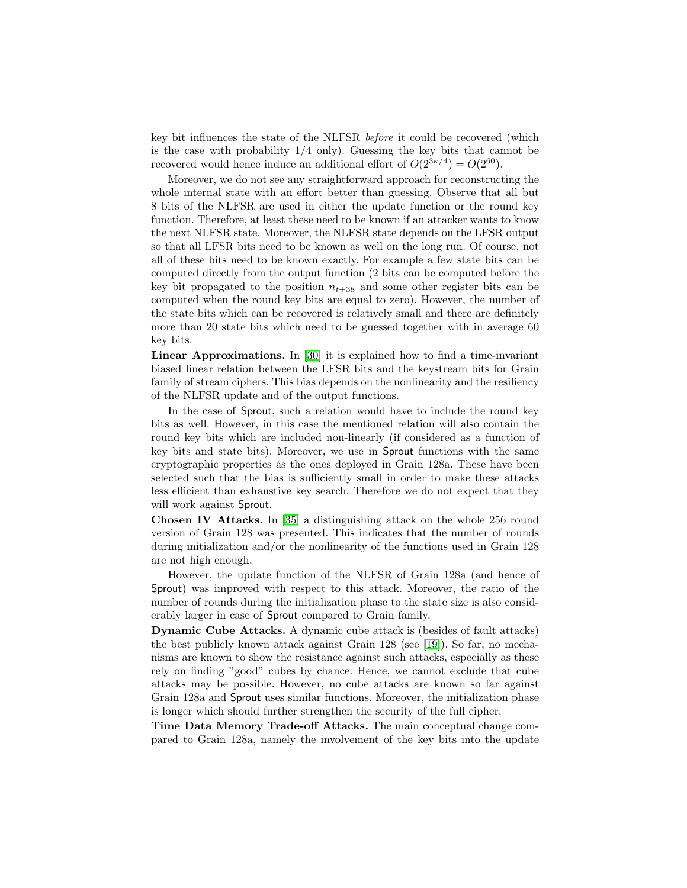key bit influences the state of the NLFSR before it could be recovered (which is the case with probability  $1/4$  only). Guessing the key bits that cannot be recovered would hence induce an additional effort of  $O(2^{3\kappa/4}) = O(2^{60})$ .

Moreover, we do not see any straightforward approach for reconstructing the whole internal state with an effort better than guessing. Observe that all but 8 bits of the NLFSR are used in either the update function or the round key function. Therefore, at least these need to be known if an attacker wants to know the next NLFSR state. Moreover, the NLFSR state depends on the LFSR output so that all LFSR bits need to be known as well on the long run. Of course, not all of these bits need to be known exactly. For example a few state bits can be computed directly from the output function (2 bits can be computed before the key bit propagated to the position  $n_{t+38}$  and some other register bits can be computed when the round key bits are equal to zero). However, the number of the state bits which can be recovered is relatively small and there are definitely more than 20 state bits which need to be guessed together with in average 60 key bits.

Linear Approximations. In [\[30\]](#page-19-10) it is explained how to find a time-invariant biased linear relation between the LFSR bits and the keystream bits for Grain family of stream ciphers. This bias depends on the nonlinearity and the resiliency of the NLFSR update and of the output functions.

In the case of Sprout, such a relation would have to include the round key bits as well. However, in this case the mentioned relation will also contain the round key bits which are included non-linearly (if considered as a function of key bits and state bits). Moreover, we use in Sprout functions with the same cryptographic properties as the ones deployed in Grain 128a. These have been selected such that the bias is sufficiently small in order to make these attacks less efficient than exhaustive key search. Therefore we do not expect that they will work against Sprout.

Chosen IV Attacks. In [\[35\]](#page-19-11) a distinguishing attack on the whole 256 round version of Grain 128 was presented. This indicates that the number of rounds during initialization and/or the nonlinearity of the functions used in Grain 128 are not high enough.

However, the update function of the NLFSR of Grain 128a (and hence of Sprout) was improved with respect to this attack. Moreover, the ratio of the number of rounds during the initialization phase to the state size is also considerably larger in case of Sprout compared to Grain family.

Dynamic Cube Attacks. A dynamic cube attack is (besides of fault attacks) the best publicly known attack against Grain 128 (see [\[19\]](#page-18-12)). So far, no mechanisms are known to show the resistance against such attacks, especially as these rely on finding "good" cubes by chance. Hence, we cannot exclude that cube attacks may be possible. However, no cube attacks are known so far against Grain 128a and Sprout uses similar functions. Moreover, the initialization phase is longer which should further strengthen the security of the full cipher.

Time Data Memory Trade-off Attacks. The main conceptual change compared to Grain 128a, namely the involvement of the key bits into the update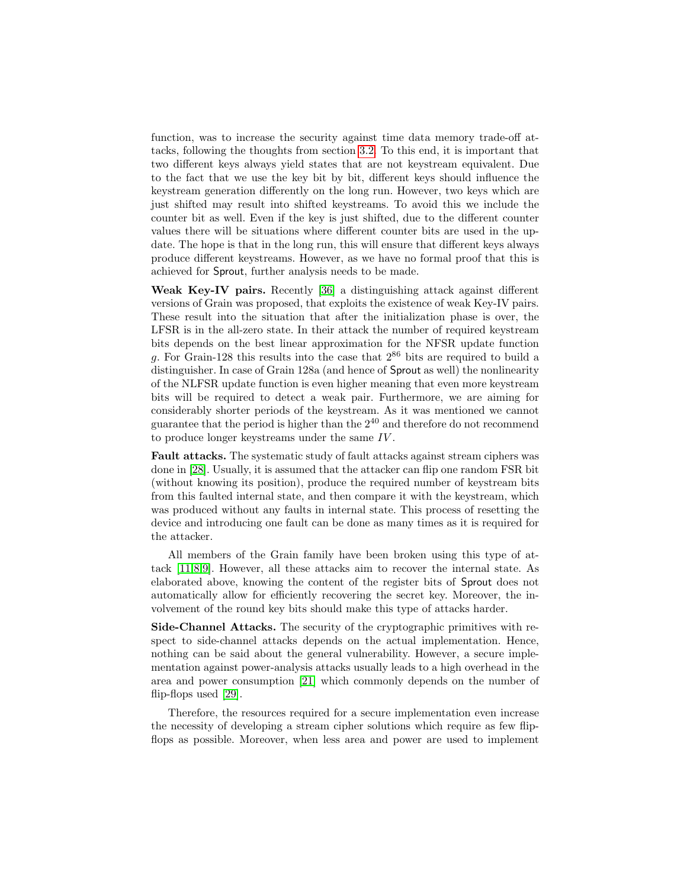function, was to increase the security against time data memory trade-off attacks, following the thoughts from section [3.2.](#page-6-1) To this end, it is important that two different keys always yield states that are not keystream equivalent. Due to the fact that we use the key bit by bit, different keys should influence the keystream generation differently on the long run. However, two keys which are just shifted may result into shifted keystreams. To avoid this we include the counter bit as well. Even if the key is just shifted, due to the different counter values there will be situations where different counter bits are used in the update. The hope is that in the long run, this will ensure that different keys always produce different keystreams. However, as we have no formal proof that this is achieved for Sprout, further analysis needs to be made.

Weak Key-IV pairs. Recently [\[36\]](#page-19-12) a distinguishing attack against different versions of Grain was proposed, that exploits the existence of weak Key-IV pairs. These result into the situation that after the initialization phase is over, the LFSR is in the all-zero state. In their attack the number of required keystream bits depends on the best linear approximation for the NFSR update function q. For Grain-128 this results into the case that  $2^{86}$  bits are required to build a distinguisher. In case of Grain 128a (and hence of Sprout as well) the nonlinearity of the NLFSR update function is even higher meaning that even more keystream bits will be required to detect a weak pair. Furthermore, we are aiming for considerably shorter periods of the keystream. As it was mentioned we cannot guarantee that the period is higher than the  $2^{40}$  and therefore do not recommend to produce longer keystreams under the same IV .

Fault attacks. The systematic study of fault attacks against stream ciphers was done in [\[28\]](#page-19-13). Usually, it is assumed that the attacker can flip one random FSR bit (without knowing its position), produce the required number of keystream bits from this faulted internal state, and then compare it with the keystream, which was produced without any faults in internal state. This process of resetting the device and introducing one fault can be done as many times as it is required for the attacker.

All members of the Grain family have been broken using this type of attack [\[11,](#page-18-13)[8,](#page-18-14)[9\]](#page-18-15). However, all these attacks aim to recover the internal state. As elaborated above, knowing the content of the register bits of Sprout does not automatically allow for efficiently recovering the secret key. Moreover, the involvement of the round key bits should make this type of attacks harder.

Side-Channel Attacks. The security of the cryptographic primitives with respect to side-channel attacks depends on the actual implementation. Hence, nothing can be said about the general vulnerability. However, a secure implementation against power-analysis attacks usually leads to a high overhead in the area and power consumption [\[21\]](#page-19-14) which commonly depends on the number of flip-flops used [\[29\]](#page-19-15).

Therefore, the resources required for a secure implementation even increase the necessity of developing a stream cipher solutions which require as few flipflops as possible. Moreover, when less area and power are used to implement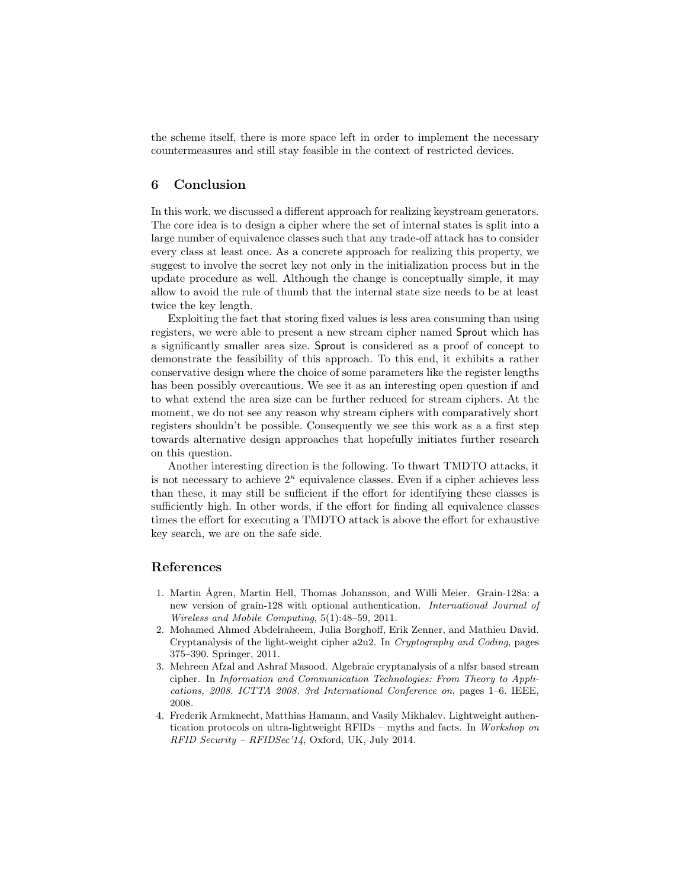the scheme itself, there is more space left in order to implement the necessary countermeasures and still stay feasible in the context of restricted devices.

# <span id="page-17-1"></span>6 Conclusion

In this work, we discussed a different approach for realizing keystream generators. The core idea is to design a cipher where the set of internal states is split into a large number of equivalence classes such that any trade-off attack has to consider every class at least once. As a concrete approach for realizing this property, we suggest to involve the secret key not only in the initialization process but in the update procedure as well. Although the change is conceptually simple, it may allow to avoid the rule of thumb that the internal state size needs to be at least twice the key length.

Exploiting the fact that storing fixed values is less area consuming than using registers, we were able to present a new stream cipher named Sprout which has a significantly smaller area size. Sprout is considered as a proof of concept to demonstrate the feasibility of this approach. To this end, it exhibits a rather conservative design where the choice of some parameters like the register lengths has been possibly overcautious. We see it as an interesting open question if and to what extend the area size can be further reduced for stream ciphers. At the moment, we do not see any reason why stream ciphers with comparatively short registers shouldn't be possible. Consequently we see this work as a a first step towards alternative design approaches that hopefully initiates further research on this question.

Another interesting direction is the following. To thwart TMDTO attacks, it is not necessary to achieve  $2^{\kappa}$  equivalence classes. Even if a cipher achieves less than these, it may still be sufficient if the effort for identifying these classes is sufficiently high. In other words, if the effort for finding all equivalence classes times the effort for executing a TMDTO attack is above the effort for exhaustive key search, we are on the safe side.

## References

- <span id="page-17-0"></span>1. Martin Ågren, Martin Hell, Thomas Johansson, and Willi Meier. Grain-128a: a new version of grain-128 with optional authentication. International Journal of Wireless and Mobile Computing, 5(1):48–59, 2011.
- <span id="page-17-2"></span>2. Mohamed Ahmed Abdelraheem, Julia Borghoff, Erik Zenner, and Mathieu David. Cryptanalysis of the light-weight cipher a2u2. In Cryptography and Coding, pages 375–390. Springer, 2011.
- <span id="page-17-4"></span>3. Mehreen Afzal and Ashraf Masood. Algebraic cryptanalysis of a nlfsr based stream cipher. In Information and Communication Technologies: From Theory to Applications, 2008. ICTTA 2008. 3rd International Conference on, pages 1–6. IEEE, 2008.
- <span id="page-17-3"></span>4. Frederik Armknecht, Matthias Hamann, and Vasily Mikhalev. Lightweight authentication protocols on ultra-lightweight RFIDs – myths and facts. In Workshop on RFID Security – RFIDSec'14, Oxford, UK, July 2014.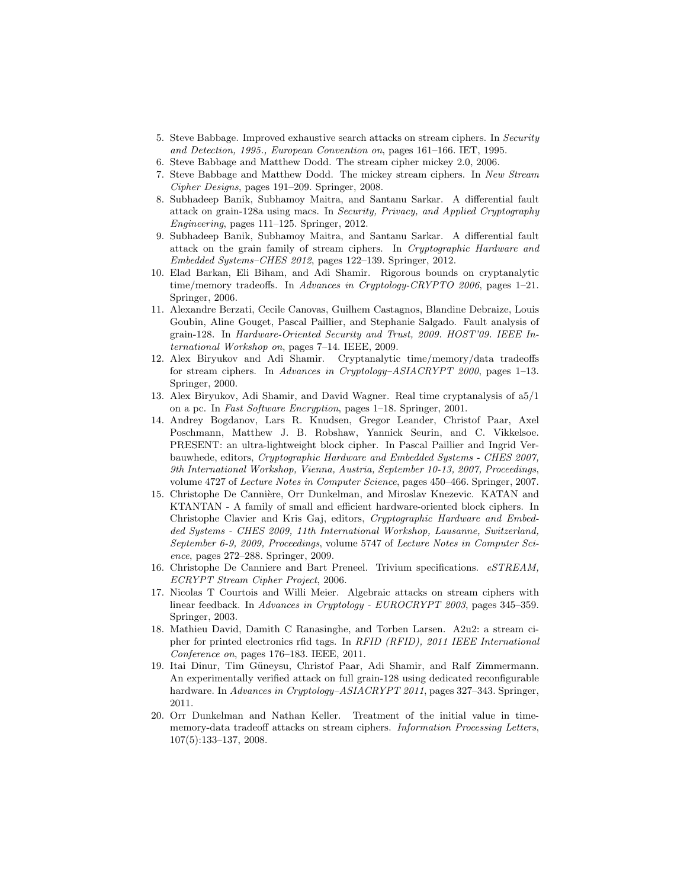- <span id="page-18-4"></span>5. Steve Babbage. Improved exhaustive search attacks on stream ciphers. In Security and Detection, 1995., European Convention on, pages 161–166. IET, 1995.
- <span id="page-18-3"></span>6. Steve Babbage and Matthew Dodd. The stream cipher mickey 2.0, 2006.
- <span id="page-18-6"></span>7. Steve Babbage and Matthew Dodd. The mickey stream ciphers. In New Stream Cipher Designs, pages 191–209. Springer, 2008.
- <span id="page-18-14"></span>8. Subhadeep Banik, Subhamoy Maitra, and Santanu Sarkar. A differential fault attack on grain-128a using macs. In Security, Privacy, and Applied Cryptography Engineering, pages 111–125. Springer, 2012.
- <span id="page-18-15"></span>9. Subhadeep Banik, Subhamoy Maitra, and Santanu Sarkar. A differential fault attack on the grain family of stream ciphers. In Cryptographic Hardware and Embedded Systems–CHES 2012, pages 122–139. Springer, 2012.
- <span id="page-18-8"></span>10. Elad Barkan, Eli Biham, and Adi Shamir. Rigorous bounds on cryptanalytic time/memory tradeoffs. In Advances in Cryptology-CRYPTO 2006, pages 1-21. Springer, 2006.
- <span id="page-18-13"></span>11. Alexandre Berzati, Cecile Canovas, Guilhem Castagnos, Blandine Debraize, Louis Goubin, Aline Gouget, Pascal Paillier, and Stephanie Salgado. Fault analysis of grain-128. In Hardware-Oriented Security and Trust, 2009. HOST'09. IEEE International Workshop on, pages 7–14. IEEE, 2009.
- <span id="page-18-5"></span>12. Alex Biryukov and Adi Shamir. Cryptanalytic time/memory/data tradeoffs for stream ciphers. In Advances in Cryptology–ASIACRYPT 2000, pages 1–13. Springer, 2000.
- <span id="page-18-7"></span>13. Alex Biryukov, Adi Shamir, and David Wagner. Real time cryptanalysis of a5/1 on a pc. In Fast Software Encryption, pages 1–18. Springer, 2001.
- <span id="page-18-0"></span>14. Andrey Bogdanov, Lars R. Knudsen, Gregor Leander, Christof Paar, Axel Poschmann, Matthew J. B. Robshaw, Yannick Seurin, and C. Vikkelsoe. PRESENT: an ultra-lightweight block cipher. In Pascal Paillier and Ingrid Verbauwhede, editors, Cryptographic Hardware and Embedded Systems - CHES 2007, 9th International Workshop, Vienna, Austria, September 10-13, 2007, Proceedings, volume 4727 of Lecture Notes in Computer Science, pages 450–466. Springer, 2007.
- <span id="page-18-1"></span>15. Christophe De Cannière, Orr Dunkelman, and Miroslav Knezevic. KATAN and KTANTAN - A family of small and efficient hardware-oriented block ciphers. In Christophe Clavier and Kris Gaj, editors, Cryptographic Hardware and Embedded Systems - CHES 2009, 11th International Workshop, Lausanne, Switzerland, September 6-9, 2009, Proceedings, volume 5747 of Lecture Notes in Computer Science, pages 272–288. Springer, 2009.
- <span id="page-18-2"></span>16. Christophe De Canniere and Bart Preneel. Trivium specifications. eSTREAM, ECRYPT Stream Cipher Project, 2006.
- <span id="page-18-11"></span>17. Nicolas T Courtois and Willi Meier. Algebraic attacks on stream ciphers with linear feedback. In Advances in Cryptology - EUROCRYPT 2003, pages 345–359. Springer, 2003.
- <span id="page-18-10"></span>18. Mathieu David, Damith C Ranasinghe, and Torben Larsen. A2u2: a stream cipher for printed electronics rfid tags. In RFID (RFID), 2011 IEEE International Conference on, pages 176–183. IEEE, 2011.
- <span id="page-18-12"></span>19. Itai Dinur, Tim G¨uneysu, Christof Paar, Adi Shamir, and Ralf Zimmermann. An experimentally verified attack on full grain-128 using dedicated reconfigurable hardware. In Advances in Cryptology–ASIACRYPT 2011, pages 327–343. Springer, 2011.
- <span id="page-18-9"></span>20. Orr Dunkelman and Nathan Keller. Treatment of the initial value in timememory-data tradeoff attacks on stream ciphers. Information Processing Letters, 107(5):133–137, 2008.